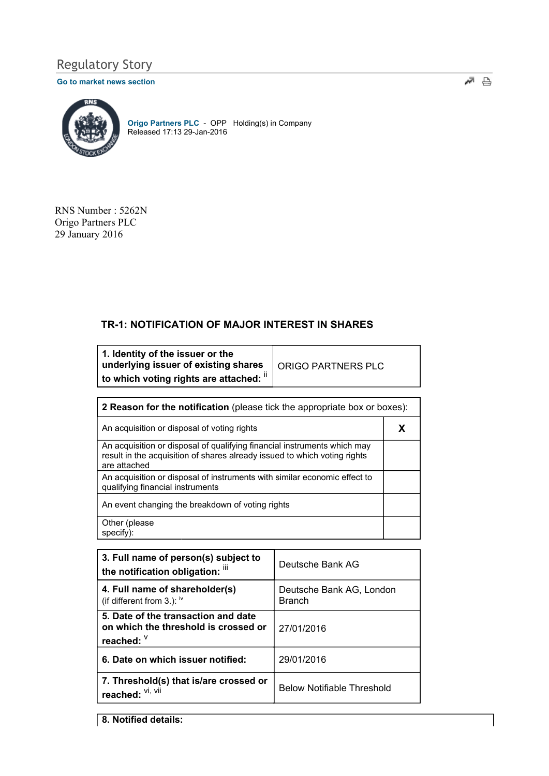# Regulatory Story

### Go to market news section



Origo Partners PLC - OPP Holding(s) in Company Released 17:13 29-Jan-2016

RNS Number : 5262N Origo Partners PLC 29 January 2016

## TR-1: NOTIFICATION OF MAJOR INTEREST IN SHARES

| 1. Identity of the issuer or the<br>underlying issuer of existing shares | ORIGO PARTNERS PLC |
|--------------------------------------------------------------------------|--------------------|
| to which voting rights are attached: "                                   |                    |

| <b>2 Reason for the notification</b> (please tick the appropriate box or boxes):                                                                                      |   |  |
|-----------------------------------------------------------------------------------------------------------------------------------------------------------------------|---|--|
| An acquisition or disposal of voting rights                                                                                                                           | X |  |
| An acquisition or disposal of qualifying financial instruments which may<br>result in the acquisition of shares already issued to which voting rights<br>are attached |   |  |
| An acquisition or disposal of instruments with similar economic effect to<br>qualifying financial instruments                                                         |   |  |
| An event changing the breakdown of voting rights                                                                                                                      |   |  |
| Other (please)<br>specify):                                                                                                                                           |   |  |

| 3. Full name of person(s) subject to<br>the notification obligation: iii                  | Deutsche Bank AG                          |
|-------------------------------------------------------------------------------------------|-------------------------------------------|
| 4. Full name of shareholder(s)<br>(if different from 3.): $\frac{1}{10}$                  | Deutsche Bank AG, London<br><b>Branch</b> |
| 5. Date of the transaction and date<br>on which the threshold is crossed or<br>reached: V | 27/01/2016                                |
| 6. Date on which issuer notified:                                                         | 29/01/2016                                |
| 7. Threshold(s) that is/are crossed or<br>reached: Vi, Vii                                | <b>Below Notifiable Threshold</b>         |

8. Notified details: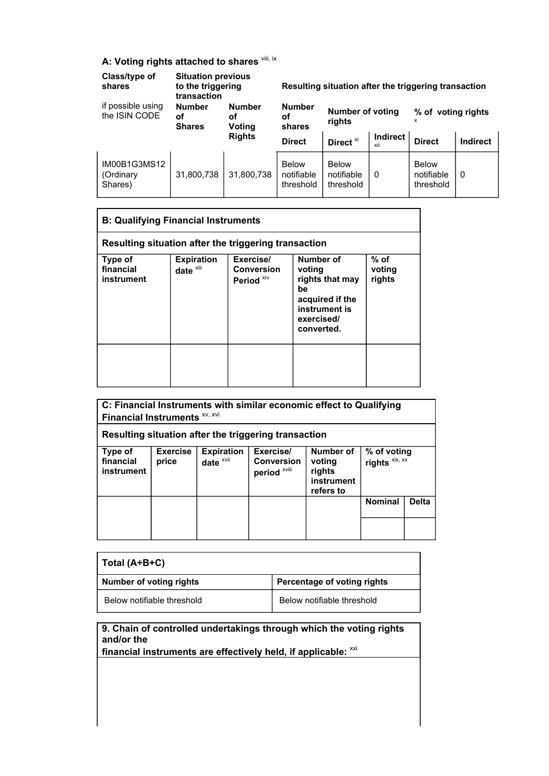## A: Voting rights attached to shares vill, ix

| Class/type of<br>shares              | <b>Situation previous</b><br>to the triggering<br>transaction |                               |                                         | Resulting situation after the triggering transaction |                   |                                         |                 |
|--------------------------------------|---------------------------------------------------------------|-------------------------------|-----------------------------------------|------------------------------------------------------|-------------------|-----------------------------------------|-----------------|
| if possible using<br>the ISIN CODE   | <b>Number</b><br>οf<br><b>Shares</b>                          | <b>Number</b><br>οf<br>Voting | <b>Number</b><br>οf<br>shares           | <b>Number of voting</b><br>rights                    |                   | % of voting rights                      |                 |
|                                      |                                                               | <b>Rights</b>                 | <b>Direct</b>                           | Direct <sup>xi</sup>                                 | Indirect  <br>xii | <b>Direct</b>                           | <b>Indirect</b> |
| IM00B1G3MS12<br>(Ordinary<br>Shares) | 31,800,738                                                    | 31,800,738                    | <b>Below</b><br>notifiable<br>threshold | <b>Below</b><br>notifiable<br>threshold              | $\Omega$          | <b>Below</b><br>notifiable<br>threshold | - 0             |

| <b>B: Qualifying Financial Instruments</b> |                                                      |                                                  |                                                                                                              |                          |
|--------------------------------------------|------------------------------------------------------|--------------------------------------------------|--------------------------------------------------------------------------------------------------------------|--------------------------|
|                                            | Resulting situation after the triggering transaction |                                                  |                                                                                                              |                          |
| Type of<br>financial<br>instrument         | <b>Expiration</b><br>date <sup>xiii</sup>            | Exercise/<br>Conversion<br>Period <sup>xiv</sup> | Number of<br>voting<br>rights that may<br>be<br>acquired if the<br>instrument is<br>exercised/<br>converted. | % of<br>voting<br>rights |
|                                            |                                                      |                                                  |                                                                                                              |                          |

| C: Financial Instruments with similar economic effect to Qualifying<br>Financial Instruments XV, XVI<br>Resulting situation after the triggering transaction |                          |                                           |                                                |                                                          |                               |              |
|--------------------------------------------------------------------------------------------------------------------------------------------------------------|--------------------------|-------------------------------------------|------------------------------------------------|----------------------------------------------------------|-------------------------------|--------------|
| Type of<br>financial<br>instrument                                                                                                                           | <b>Exercise</b><br>price | <b>Expiration</b><br>date <sup>xvii</sup> | Exercise/<br><b>Conversion</b><br>period XVIII | Number of<br>voting<br>rights<br>instrument<br>refers to | % of voting<br>rights xix, xx |              |
|                                                                                                                                                              |                          |                                           |                                                |                                                          | <b>Nominal</b>                | <b>Delta</b> |
|                                                                                                                                                              |                          |                                           |                                                |                                                          |                               |              |

| Total (A+B+C)              |                             |
|----------------------------|-----------------------------|
| Number of voting rights    | Percentage of voting rights |
| Below notifiable threshold | Below notifiable threshold  |

9. Chain of controlled undertakings through which the voting rights and/or the

financial instruments are effectively held, if applicable:  $xxi$